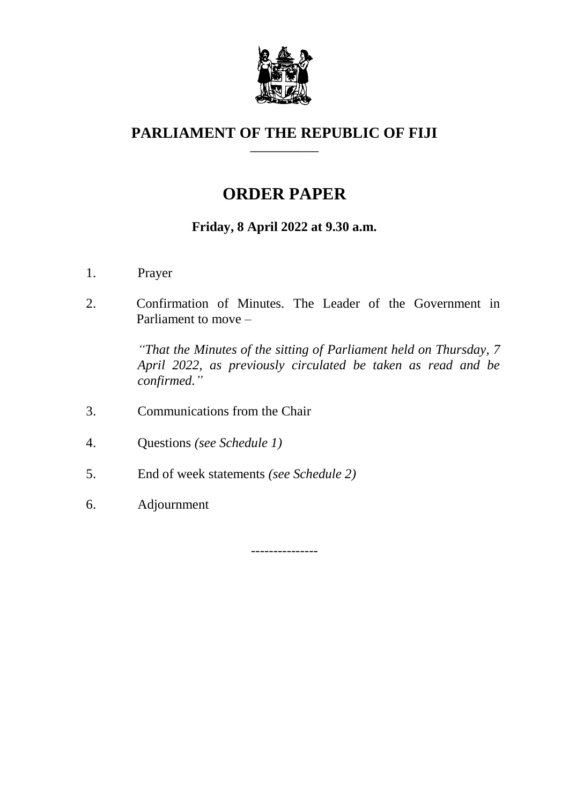

#### **PARLIAMENT OF THE REPUBLIC OF FIJI \_\_\_\_\_\_\_\_\_\_\_\_\_**

# **ORDER PAPER**

## **Friday, 8 April 2022 at 9.30 a.m.**

- 1. Prayer
- 2. Confirmation of Minutes. The Leader of the Government in Parliament to move –

*"That the Minutes of the sitting of Parliament held on Thursday, 7 April 2022, as previously circulated be taken as read and be confirmed."*

- 3. Communications from the Chair
- 4. Questions *(see Schedule 1)*
- 5. End of week statements *(see Schedule 2)*
- 6. Adjournment

---------------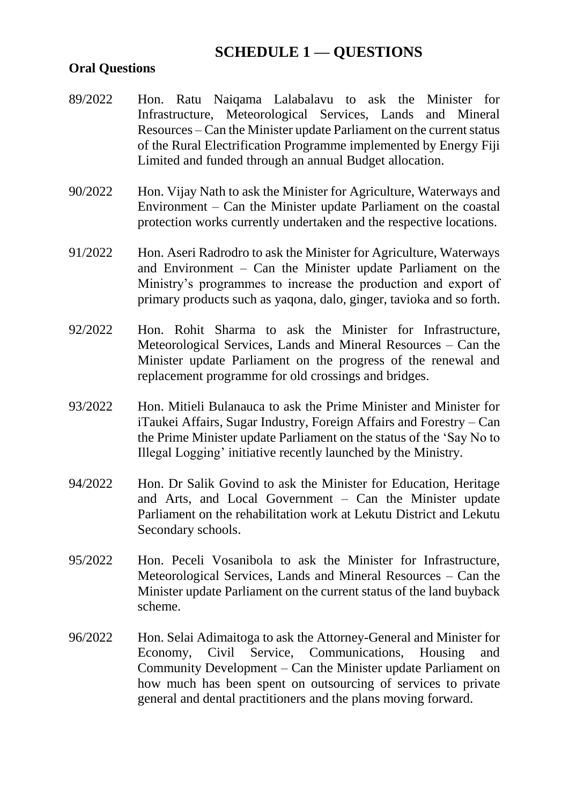## **SCHEDULE 1 — QUESTIONS**

#### **Oral Questions**

- 89/2022 Hon. Ratu Naiqama Lalabalavu to ask the Minister for Infrastructure, Meteorological Services, Lands and Mineral Resources – Can the Minister update Parliament on the current status of the Rural Electrification Programme implemented by Energy Fiji Limited and funded through an annual Budget allocation.
- 90/2022 Hon. Vijay Nath to ask the Minister for Agriculture, Waterways and Environment – Can the Minister update Parliament on the coastal protection works currently undertaken and the respective locations.
- 91/2022 Hon. Aseri Radrodro to ask the Minister for Agriculture, Waterways and Environment – Can the Minister update Parliament on the Ministry's programmes to increase the production and export of primary products such as yaqona, dalo, ginger, tavioka and so forth.
- 92/2022 Hon. Rohit Sharma to ask the Minister for Infrastructure, Meteorological Services, Lands and Mineral Resources – Can the Minister update Parliament on the progress of the renewal and replacement programme for old crossings and bridges.
- 93/2022 Hon. Mitieli Bulanauca to ask the Prime Minister and Minister for iTaukei Affairs, Sugar Industry, Foreign Affairs and Forestry – Can the Prime Minister update Parliament on the status of the 'Say No to Illegal Logging' initiative recently launched by the Ministry.
- 94/2022 Hon. Dr Salik Govind to ask the Minister for Education, Heritage and Arts, and Local Government – Can the Minister update Parliament on the rehabilitation work at Lekutu District and Lekutu Secondary schools.
- 95/2022 Hon. Peceli Vosanibola to ask the Minister for Infrastructure, Meteorological Services, Lands and Mineral Resources – Can the Minister update Parliament on the current status of the land buyback scheme.
- 96/2022 Hon. Selai Adimaitoga to ask the Attorney-General and Minister for Economy, Civil Service, Communications, Housing and Community Development – Can the Minister update Parliament on how much has been spent on outsourcing of services to private general and dental practitioners and the plans moving forward.